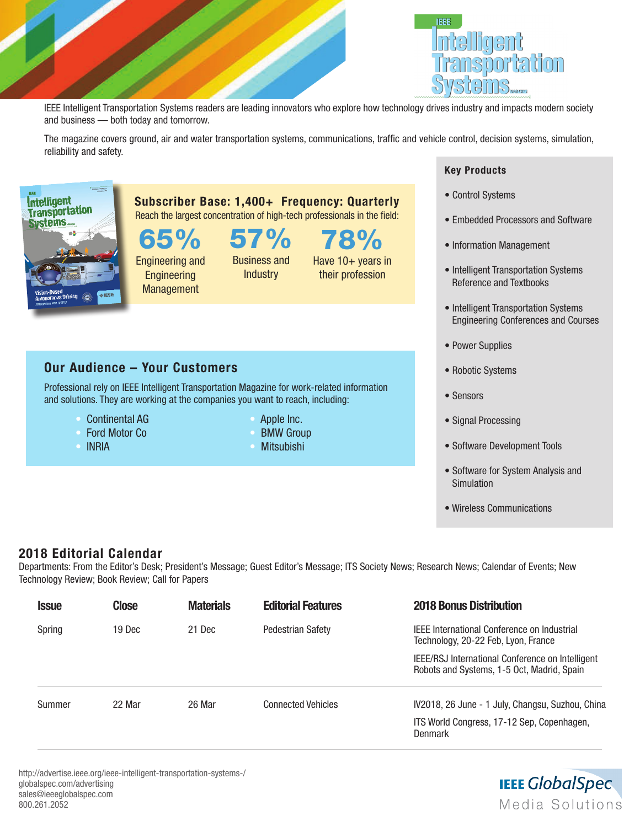



IEEE Intelligent Transportation Systems readers are leading innovators who explore how technology drives industry and impacts modern society and business — both today and tomorrow.

The magazine covers ground, air and water transportation systems, communications, traffic and vehicle control, decision systems, simulation, reliability and safety.



65% Engineering and **Engineering** 

**Management** 

Professional rely on IEEE Intelligent Transportation Magazine for work-related information

and solutions. They are working at the companies you want to reach, including:

Our Audience – Your Customers

• Continental AG • Ford Motor Co

• INRIA

Business and **Industry** 

Subscriber Base: 1,400+ Frequency: Quarterly Reach the largest concentration of high-tech professionals in the field:

57%

78% Have 10+ years in their profession

## Key Products

- Control Systems
- Embedded Processors and Software
- Information Management
- Intelligent Transportation Systems Reference and Textbooks
- Intelligent Transportation Systems Engineering Conferences and Courses
- Power Supplies
- Robotic Systems
- Sensors
- Signal Processing
- Software Development Tools
- Software for System Analysis and Simulation
- Wireless Communications

## 2018 Editorial Calendar

Departments: From the Editor's Desk; President's Message; Guest Editor's Message; ITS Society News; Research News; Calendar of Events; New Technology Review; Book Review; Call for Papers

| <b>Issue</b> | <b>Close</b> | <b>Materials</b> | <b>Editorial Features</b> | <b>2018 Bonus Distribution</b>                                                                 |
|--------------|--------------|------------------|---------------------------|------------------------------------------------------------------------------------------------|
| Spring       | 19 Dec       | 21 Dec           | <b>Pedestrian Safety</b>  | <b>IFFE International Conference on Industrial</b><br>Technology, 20-22 Feb, Lyon, France      |
|              |              |                  |                           | IEEE/RSJ International Conference on Intelligent<br>Robots and Systems, 1-5 Oct, Madrid, Spain |
| Summer       | 22 Mar       | 26 Mar           | <b>Connected Vehicles</b> | IV2018, 26 June - 1 July, Changsu, Suzhou, China                                               |
|              |              |                  |                           | ITS World Congress, 17-12 Sep, Copenhagen,<br>Denmark                                          |

http://advertise.ieee.org/ieee-intelligent-transportation-systems-/ globalspec.com/advertising sales@ieeeglobalspec.com 800.261.2052

## **IEEE GlobalSpec** Media Solutions

## • Apple Inc.

- **BMW Group**
- Mitsubishi